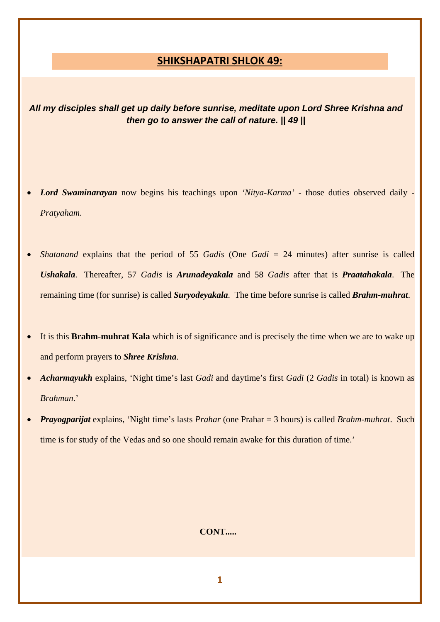## **SHIKSHAPATRI SHLOK 49:**

*All my disciples shall get up daily before sunrise, meditate upon Lord Shree Krishna and then go to answer the call of nature. || 49 ||* 

- *Lord Swaminarayan* now begins his teachings upon *'Nitya-Karma'* those duties observed daily *Pratyaham*.
- *Shatanand* explains that the period of 55 *Gadis* (One *Gadi* = 24 minutes) after sunrise is called *Ushakala*. Thereafter, 57 *Gadis* is *Arunadeyakala* and 58 *Gadis* after that is *Praatahakala*. The remaining time (for sunrise) is called *Suryodeyakala*. The time before sunrise is called *Brahm-muhrat*.
- It is this **Brahm-muhrat Kala** which is of significance and is precisely the time when we are to wake up and perform prayers to *Shree Krishna*.
- *Acharmayukh* explains, 'Night time's last *Gadi* and daytime's first *Gadi* (2 *Gadis* in total) is known as *Brahman*.'
- *Prayogparijat* explains, 'Night time's lasts *Prahar* (one Prahar = 3 hours) is called *Brahm-muhrat*. Such time is for study of the Vedas and so one should remain awake for this duration of time.'

## **CONT.....**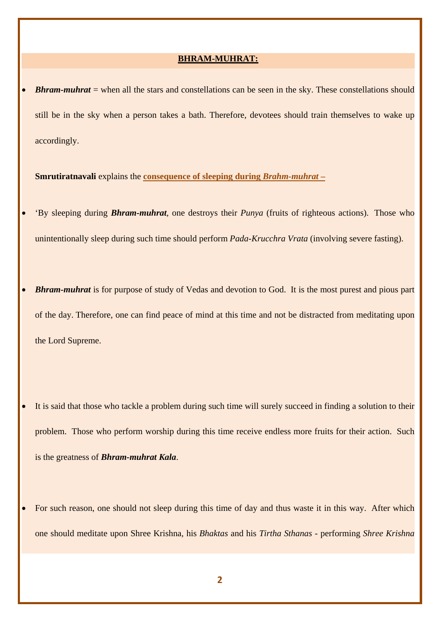#### **BHRAM-MUHRAT:**

**Bhram-muhrat** = when all the stars and constellations can be seen in the sky. These constellations should still be in the sky when a person takes a bath. Therefore, devotees should train themselves to wake up accordingly.

**Smrutiratnavali** explains the **consequence of sleeping during** *Brahm-muhrat* **–**

• 'By sleeping during *Bhram-muhrat*, one destroys their *Punya* (fruits of righteous actions). Those who unintentionally sleep during such time should perform *Pada-Krucchra Vrata* (involving severe fasting).

• *Bhram-muhrat* is for purpose of study of Vedas and devotion to God. It is the most purest and pious part of the day. Therefore, one can find peace of mind at this time and not be distracted from meditating upon the Lord Supreme.

- It is said that those who tackle a problem during such time will surely succeed in finding a solution to their problem. Those who perform worship during this time receive endless more fruits for their action. Such is the greatness of *Bhram-muhrat Kala*.
- For such reason, one should not sleep during this time of day and thus waste it in this way. After which one should meditate upon Shree Krishna, his *Bhaktas* and his *Tirtha Sthanas* - performing *Shree Krishna*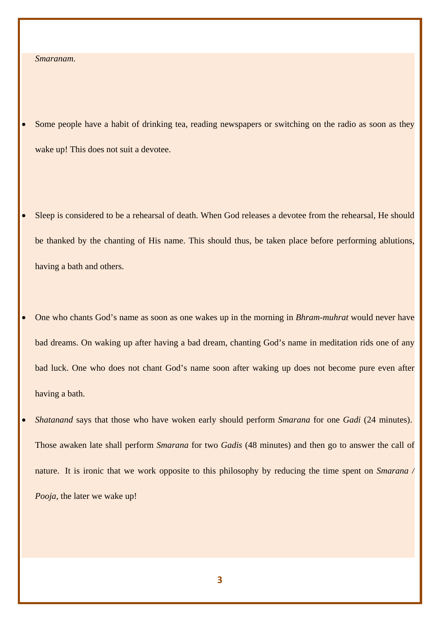### *Smaranam.*

- Some people have a habit of drinking tea, reading newspapers or switching on the radio as soon as they wake up! This does not suit a devotee.
- Sleep is considered to be a rehearsal of death. When God releases a devotee from the rehearsal, He should be thanked by the chanting of His name. This should thus, be taken place before performing ablutions, having a bath and others.
- One who chants God's name as soon as one wakes up in the morning in *Bhram-muhrat* would never have bad dreams. On waking up after having a bad dream, chanting God's name in meditation rids one of any bad luck. One who does not chant God's name soon after waking up does not become pure even after having a bath.
- *Shatanand* says that those who have woken early should perform *Smarana* for one *Gadi* (24 minutes). Those awaken late shall perform *Smarana* for two *Gadis* (48 minutes) and then go to answer the call of nature. It is ironic that we work opposite to this philosophy by reducing the time spent on *Smarana / Pooja*, the later we wake up!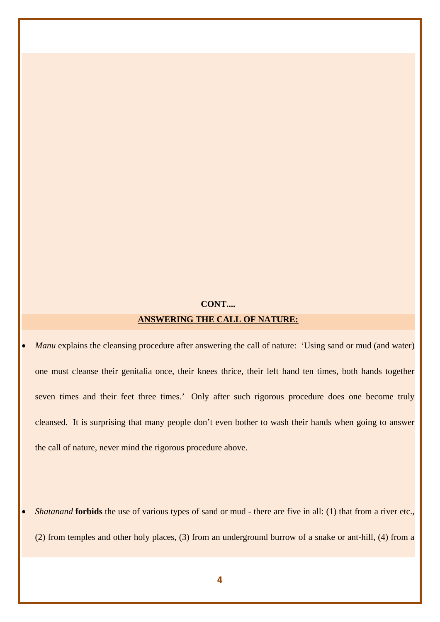# **CONT.... ANSWERING THE CALL OF NATURE:**

*Manu* explains the cleansing procedure after answering the call of nature: 'Using sand or mud (and water) one must cleanse their genitalia once, their knees thrice, their left hand ten times, both hands together seven times and their feet three times.' Only after such rigorous procedure does one become truly cleansed. It is surprising that many people don't even bother to wash their hands when going to answer the call of nature, never mind the rigorous procedure above.

• *Shatanand* **forbids** the use of various types of sand or mud - there are five in all: (1) that from a river etc., (2) from temples and other holy places, (3) from an underground burrow of a snake or ant-hill, (4) from a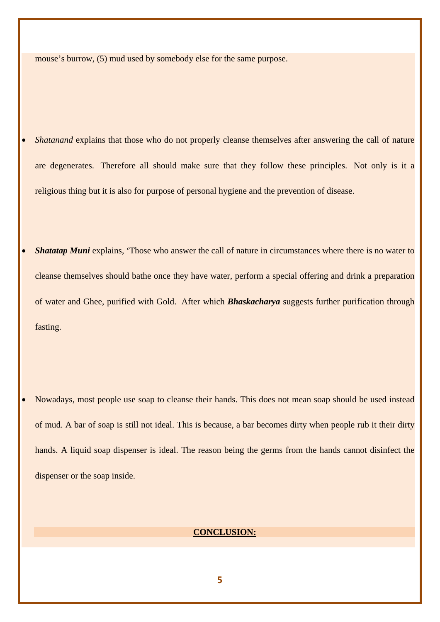mouse's burrow, (5) mud used by somebody else for the same purpose.

• *Shatanand* explains that those who do not properly cleanse themselves after answering the call of nature are degenerates. Therefore all should make sure that they follow these principles. Not only is it a religious thing but it is also for purpose of personal hygiene and the prevention of disease.

**Shatatap Muni** explains, 'Those who answer the call of nature in circumstances where there is no water to cleanse themselves should bathe once they have water, perform a special offering and drink a preparation of water and Ghee, purified with Gold. After which *Bhaskacharya* suggests further purification through fasting.

• Nowadays, most people use soap to cleanse their hands. This does not mean soap should be used instead of mud. A bar of soap is still not ideal. This is because, a bar becomes dirty when people rub it their dirty hands. A liquid soap dispenser is ideal. The reason being the germs from the hands cannot disinfect the dispenser or the soap inside.

## **CONCLUSION:**